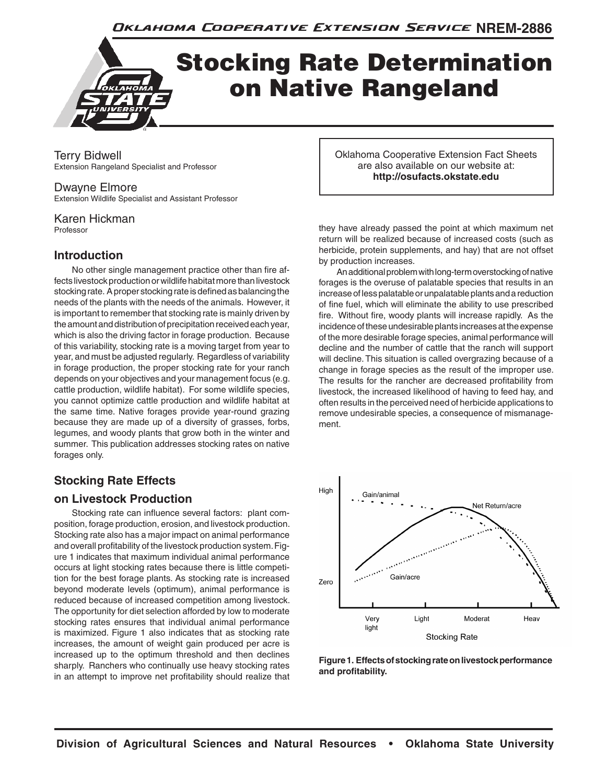Oklahoma Cooperative Extension Service NREM-2886

# Stocking Rate Determination on Native Rangeland

Terry Bidwell Extension Rangeland Specialist and Professor

#### Dwayne Elmore

Extension Wildlife Specialist and Assistant Professor

Karen Hickman Professor

# **Introduction**

No other single management practice other than fire affects livestock production or wildlife habitat more than livestock stocking rate. A proper stocking rate is defined as balancing the needs of the plants with the needs of the animals. However, it is important to remember that stocking rate is mainly driven by the amount and distribution of precipitation received each year, which is also the driving factor in forage production. Because of this variability, stocking rate is a moving target from year to year, and must be adjusted regularly. Regardless of variability in forage production, the proper stocking rate for your ranch depends on your objectives and your management focus (e.g. cattle production, wildlife habitat). For some wildlife species, you cannot optimize cattle production and wildlife habitat at the same time. Native forages provide year-round grazing because they are made up of a diversity of grasses, forbs, legumes, and woody plants that grow both in the winter and summer. This publication addresses stocking rates on native forages only.

# **Stocking Rate Effects**

## **on Livestock Production**

Stocking rate can influence several factors: plant composition, forage production, erosion, and livestock production. Stocking rate also has a major impact on animal performance and overall profitability of the livestock production system. Figure 1 indicates that maximum individual animal performance occurs at light stocking rates because there is little competition for the best forage plants. As stocking rate is increased beyond moderate levels (optimum), animal performance is reduced because of increased competition among livestock. The opportunity for diet selection afforded by low to moderate stocking rates ensures that individual animal performance is maximized. Figure 1 also indicates that as stocking rate increases, the amount of weight gain produced per acre is increased up to the optimum threshold and then declines sharply. Ranchers who continually use heavy stocking rates in an attempt to improve net profitability should realize that Oklahoma Cooperative Extension Fact Sheets are also available on our website at: **http://osufacts.okstate.edu**

they have already passed the point at which maximum net return will be realized because of increased costs (such as herbicide, protein supplements, and hay) that are not offset by production increases.

An additional problem with long-term overstocking of native forages is the overuse of palatable species that results in an increase of less palatable or unpalatable plants and a reduction of fine fuel, which will eliminate the ability to use prescribed fire. Without fire, woody plants will increase rapidly. As the incidence of these undesirable plants increases at the expense of the more desirable forage species, animal performance will decline and the number of cattle that the ranch will support will decline. This situation is called overgrazing because of a change in forage species as the result of the improper use. The results for the rancher are decreased profitability from livestock, the increased likelihood of having to feed hay, and often results in the perceived need of herbicide applications to remove undesirable species, a consequence of mismanagement.



**Figure 1. Effects of stocking rate on livestock performance and profitability.**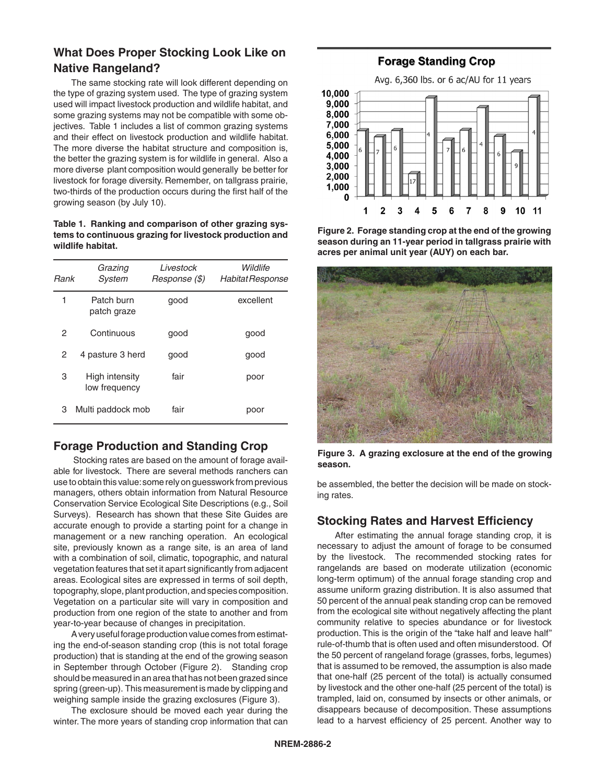# **What Does Proper Stocking Look Like on Native Rangeland?**

The same stocking rate will look different depending on the type of grazing system used. The type of grazing system used will impact livestock production and wildlife habitat, and some grazing systems may not be compatible with some objectives. Table 1 includes a list of common grazing systems and their effect on livestock production and wildlife habitat. The more diverse the habitat structure and composition is, the better the grazing system is for wildlife in general. Also a more diverse plant composition would generally be better for livestock for forage diversity. Remember, on tallgrass prairie, two-thirds of the production occurs during the first half of the growing season (by July 10).

**Table 1. Ranking and comparison of other grazing systems to continuous grazing for livestock production and wildlife habitat.**

| Rank | Grazing<br>System               | Livestock<br>Response (\$) | Wildlife<br>Habitat Response |
|------|---------------------------------|----------------------------|------------------------------|
| 1    | Patch burn<br>patch graze       | qood                       | excellent                    |
| 2    | Continuous                      | qood                       | good                         |
| 2    | 4 pasture 3 herd                | qood                       | good                         |
| 3    | High intensity<br>low frequency | fair                       | poor                         |
| З    | Multi paddock mob               | fair                       | poor                         |

# **Forage Production and Standing Crop**

 Stocking rates are based on the amount of forage available for livestock. There are several methods ranchers can use to obtain this value: some rely on guesswork from previous managers, others obtain information from Natural Resource Conservation Service Ecological Site Descriptions (e.g., Soil Surveys). Research has shown that these Site Guides are accurate enough to provide a starting point for a change in management or a new ranching operation. An ecological site, previously known as a range site, is an area of land with a combination of soil, climatic, topographic, and natural vegetation features that set it apart significantly from adjacent areas. Ecological sites are expressed in terms of soil depth, topography, slope, plant production, and species composition. Vegetation on a particular site will vary in composition and production from one region of the state to another and from year-to-year because of changes in precipitation.

A very useful forage production value comes from estimating the end-of-season standing crop (this is not total forage production) that is standing at the end of the growing season in September through October (Figure 2). Standing crop should be measured in an area that has not been grazed since spring (green-up). This measurement is made by clipping and weighing sample inside the grazing exclosures (Figure 3).

The exclosure should be moved each year during the winter. The more years of standing crop information that can

# **Forage Standing Crop**



**Figure 2. Forage standing crop at the end of the growing season during an 11-year period in tallgrass prairie with acres per animal unit year (AUY) on each bar.**



**Figure 3. A grazing exclosure at the end of the growing season.**

be assembled, the better the decision will be made on stocking rates.

## **Stocking Rates and Harvest Efficiency**

After estimating the annual forage standing crop, it is necessary to adjust the amount of forage to be consumed by the livestock. The recommended stocking rates for rangelands are based on moderate utilization (economic long-term optimum) of the annual forage standing crop and assume uniform grazing distribution. It is also assumed that 50 percent of the annual peak standing crop can be removed from the ecological site without negatively affecting the plant community relative to species abundance or for livestock production. This is the origin of the "take half and leave half" rule-of-thumb that is often used and often misunderstood. Of the 50 percent of rangeland forage (grasses, forbs, legumes) that is assumed to be removed, the assumption is also made that one-half (25 percent of the total) is actually consumed by livestock and the other one-half (25 percent of the total) is trampled, laid on, consumed by insects or other animals, or disappears because of decomposition. These assumptions lead to a harvest efficiency of 25 percent. Another way to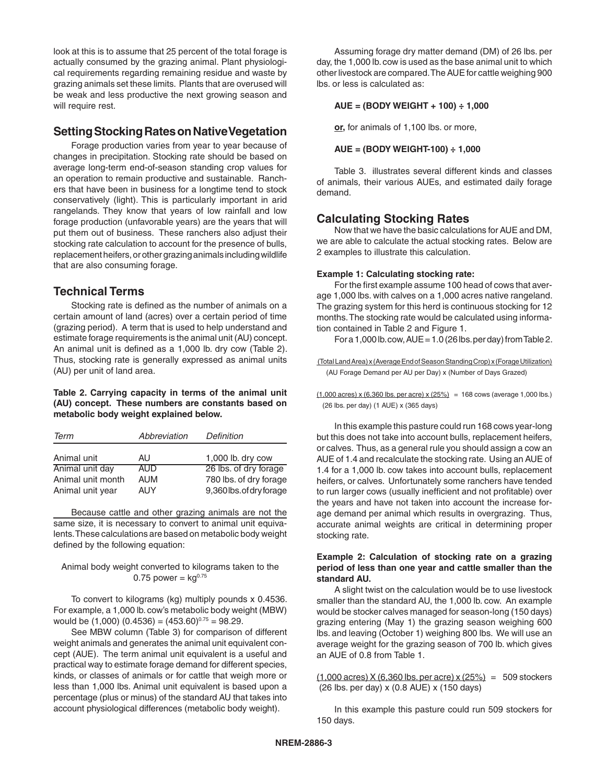look at this is to assume that 25 percent of the total forage is actually consumed by the grazing animal. Plant physiological requirements regarding remaining residue and waste by grazing animals set these limits. Plants that are overused will be weak and less productive the next growing season and will require rest.

### **Setting Stocking Rates on Native Vegetation**

Forage production varies from year to year because of changes in precipitation. Stocking rate should be based on average long-term end-of-season standing crop values for an operation to remain productive and sustainable. Ranchers that have been in business for a longtime tend to stock conservatively (light). This is particularly important in arid rangelands. They know that years of low rainfall and low forage production (unfavorable years) are the years that will put them out of business. These ranchers also adjust their stocking rate calculation to account for the presence of bulls, replacement heifers, or other grazing animals including wildlife that are also consuming forage.

## **Technical Terms**

Stocking rate is defined as the number of animals on a certain amount of land (acres) over a certain period of time (grazing period). A term that is used to help understand and estimate forage requirements is the animal unit (AU) concept. An animal unit is defined as a 1,000 lb. dry cow (Table 2). Thus, stocking rate is generally expressed as animal units (AU) per unit of land area.

#### **Table 2. Carrying capacity in terms of the animal unit (AU) concept. These numbers are constants based on metabolic body weight explained below.**

| Term                                                     | Abbreviation                           | Definition                                                                  |
|----------------------------------------------------------|----------------------------------------|-----------------------------------------------------------------------------|
| Animal unit                                              | AU                                     | 1,000 lb. dry cow                                                           |
| Animal unit day<br>Animal unit month<br>Animal unit year | <b>AUD</b><br><b>AUM</b><br><b>AUY</b> | 26 lbs. of dry forage<br>780 lbs. of dry forage<br>9,360 lbs. of dry forage |

Because cattle and other grazing animals are not the same size, it is necessary to convert to animal unit equivalents. These calculations are based on metabolic body weight defined by the following equation:

Animal body weight converted to kilograms taken to the 0.75 power =  $kq^{0.75}$ 

To convert to kilograms (kg) multiply pounds x 0.4536. For example, a 1,000 lb. cow's metabolic body weight (MBW) would be  $(1,000)$   $(0.4536) = (453.60)^{0.75} = 98.29$ .

See MBW column (Table 3) for comparison of different weight animals and generates the animal unit equivalent concept (AUE). The term animal unit equivalent is a useful and practical way to estimate forage demand for different species, kinds, or classes of animals or for cattle that weigh more or less than 1,000 lbs. Animal unit equivalent is based upon a percentage (plus or minus) of the standard AU that takes into account physiological differences (metabolic body weight).

Assuming forage dry matter demand (DM) of 26 lbs. per day, the 1,000 lb. cow is used as the base animal unit to which other livestock are compared. The AUE for cattle weighing 900 lbs. or less is calculated as:

#### **AUE = (BODY WEIGHT + 100) ÷ 1,000**

**or,** for animals of 1,100 lbs. or more,

$$
AUE = (BODY WEIGHT-100) ÷ 1,000
$$

Table 3. illustrates several different kinds and classes of animals, their various AUEs, and estimated daily forage demand.

## **Calculating Stocking Rates**

Now that we have the basic calculations for AUE and DM, we are able to calculate the actual stocking rates. Below are 2 examples to illustrate this calculation.

#### **Example 1: Calculating stocking rate:**

For the first example assume 100 head of cows that average 1,000 lbs. with calves on a 1,000 acres native rangeland. The grazing system for this herd is continuous stocking for 12 months. The stocking rate would be calculated using information contained in Table 2 and Figure 1.

For a 1,000 lb. cow,  $AUE = 1.0$  (26 lbs. per day) from Table 2.

 (Total Land Area) x (Average End of Season Standing Crop) x (Forage Utilization) (AU Forage Demand per AU per Day) x (Number of Days Grazed)

 $(1,000 \text{ acres}) \times (6,360 \text{ lbs. per acre}) \times (25\%) = 168 \text{ cows}$  (average 1,000 lbs.) (26 lbs. per day) (1 AUE) x (365 days)

In this example this pasture could run 168 cows year-long but this does not take into account bulls, replacement heifers, or calves. Thus, as a general rule you should assign a cow an AUE of 1.4 and recalculate the stocking rate. Using an AUE of 1.4 for a 1,000 lb. cow takes into account bulls, replacement heifers, or calves. Unfortunately some ranchers have tended to run larger cows (usually inefficient and not profitable) over the years and have not taken into account the increase forage demand per animal which results in overgrazing. Thus, accurate animal weights are critical in determining proper stocking rate.

#### **Example 2: Calculation of stocking rate on a grazing period of less than one year and cattle smaller than the standard AU.**

A slight twist on the calculation would be to use livestock smaller than the standard AU, the 1,000 lb. cow. An example would be stocker calves managed for season-long (150 days) grazing entering (May 1) the grazing season weighing 600 lbs. and leaving (October 1) weighing 800 lbs. We will use an average weight for the grazing season of 700 lb. which gives an AUE of 0.8 from Table 1.

 $(1,000 \text{ acres})$  X  $(6,360 \text{ lbs. per acre})$  x  $(25%) = 509$  stockers (26 lbs. per day) x (0.8 AUE) x (150 days)

In this example this pasture could run 509 stockers for 150 days.